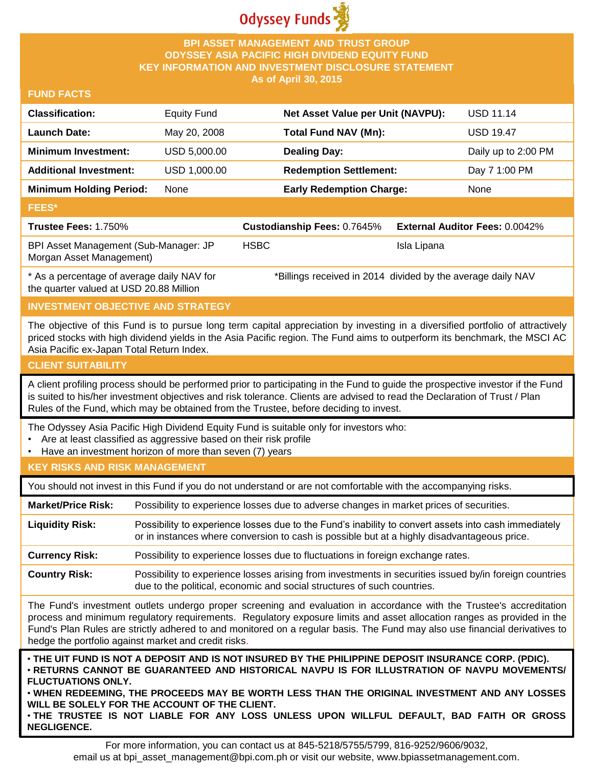

## **BPI ASSET MANAGEMENT AND TRUST GROUP ODYSSEY ASIA PACIFIC HIGH DIVIDEND EQUITY FUND KEY INFORMATION AND INVESTMENT DISCLOSURE STATEMENT As of April 30, 2015**

#### **FUND FACTS**

| <b>Classification:</b>                                            | <b>Equity Fund</b> |             | Net Asset Value per Unit (NAVPU):                            |             | <b>USD 11.14</b>                      |
|-------------------------------------------------------------------|--------------------|-------------|--------------------------------------------------------------|-------------|---------------------------------------|
| <b>Launch Date:</b>                                               | May 20, 2008       |             | <b>Total Fund NAV (Mn):</b>                                  |             | <b>USD 19.47</b>                      |
| <b>Minimum Investment:</b>                                        | USD 5,000.00       |             | <b>Dealing Day:</b>                                          |             | Daily up to 2:00 PM                   |
| <b>Additional Investment:</b>                                     | USD 1,000.00       |             | <b>Redemption Settlement:</b>                                |             | Day 7 1:00 PM                         |
| <b>Minimum Holding Period:</b>                                    | None               |             | <b>Early Redemption Charge:</b>                              |             | None                                  |
| <b>FEES*</b>                                                      |                    |             |                                                              |             |                                       |
| Trustee Fees: 1.750%                                              |                    |             | Custodianship Fees: 0.7645%                                  |             | <b>External Auditor Fees: 0.0042%</b> |
| BPI Asset Management (Sub-Manager: JP<br>Morgan Asset Management) |                    | <b>HSBC</b> |                                                              | Isla Lipana |                                       |
| * As a percentage of average daily NAV for                        |                    |             | *Billings received in 2014, divided by the average daily NAV |             |                                       |

\* As a percentage of average daily NAV for the quarter valued at USD 20.88 Million

 $\cdot$  divided by the av

# **INVESTMENT OBJECTIVE AND STRATEGY**

The objective of this Fund is to pursue long term capital appreciation by investing in a diversified portfolio of attractively priced stocks with high dividend yields in the Asia Pacific region. The Fund aims to outperform its benchmark, the MSCI AC Asia Pacific ex-Japan Total Return Index.

## **CLIENT SUITABILITY**

A client profiling process should be performed prior to participating in the Fund to guide the prospective investor if the Fund is suited to his/her investment objectives and risk tolerance. Clients are advised to read the Declaration of Trust / Plan Rules of the Fund, which may be obtained from the Trustee, before deciding to invest.

The Odyssey Asia Pacific High Dividend Equity Fund is suitable only for investors who:

- Are at least classified as aggressive based on their risk profile
- Have an investment horizon of more than seven (7) years

## **KEY RISKS AND RISK MANAGEMENT**

You should not invest in this Fund if you do not understand or are not comfortable with the accompanying risks.

**Market/Price Risk:** Possibility to experience losses due to adverse changes in market prices of securities.

**Liquidity Risk:** Possibility to experience losses due to the Fund's inability to convert assets into cash immediately or in instances where conversion to cash is possible but at a highly disadvantageous price.

**Currency Risk:** Possibility to experience losses due to fluctuations in foreign exchange rates.

**Country Risk:** Possibility to experience losses arising from investments in securities issued by/in foreign countries due to the political, economic and social structures of such countries.

The Fund's investment outlets undergo proper screening and evaluation in accordance with the Trustee's accreditation process and minimum regulatory requirements. Regulatory exposure limits and asset allocation ranges as provided in the Fund's Plan Rules are strictly adhered to and monitored on a regular basis. The Fund may also use financial derivatives to hedge the portfolio against market and credit risks.

. THE UIT FUND IS NOT A DEPOSIT AND IS NOT INSURED BY THE PHILIPPINE DEPOSIT INSURANCE CORP. (PDIC). • **RETURNS CANNOT BE GUARANTEED AND HISTORICAL NAVPU IS FOR ILLUSTRATION OF NAVPU MOVEMENTS/ FLUCTUATIONS ONLY.**

• **WHEN REDEEMING, THE PROCEEDS MAY BE WORTH LESS THAN THE ORIGINAL INVESTMENT AND ANY LOSSES WILL BE SOLELY FOR THE ACCOUNT OF THE CLIENT.**

• **THE TRUSTEE IS NOT LIABLE FOR ANY LOSS UNLESS UPON WILLFUL DEFAULT, BAD FAITH OR GROSS NEGLIGENCE.**

For more information, you can contact us at 845-5218/5755/5799, 816-9252/9606/9032, email us at bpi asset management@bpi.com.ph or visit our website, www.bpiassetmanagement.com.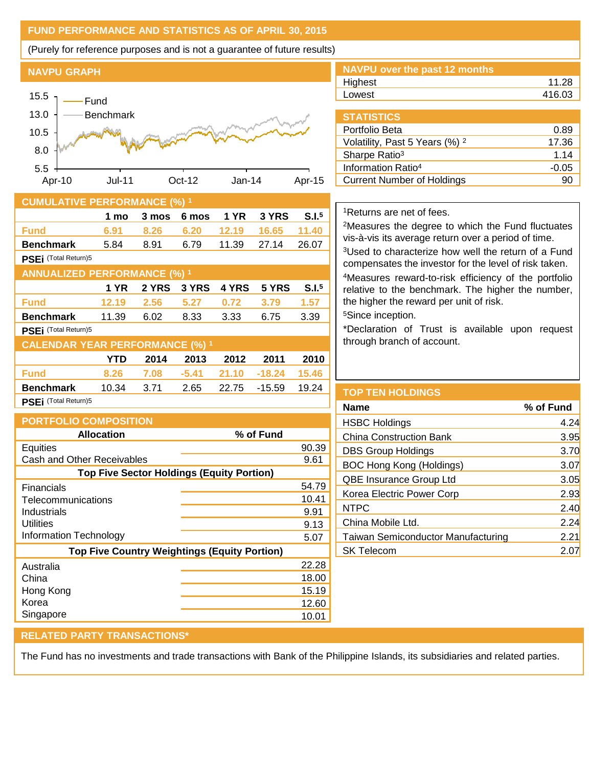## **FUND PERFORMANCE AND STATISTICS AS OF APRIL 30, 2015**

(Purely for reference purposes and is not a guarantee of future results)

#### **NAVPU GRAPH**



### **CUMULATIVE PERFORMANCE (%) <sup>1</sup>**

|                                        | 1 mo        | 3 mos | 6 mos   | 1 YR  | 3 YRS    | S.I. <sup>5</sup> |
|----------------------------------------|-------------|-------|---------|-------|----------|-------------------|
| <b>Fund</b>                            | 6.91        | 8.26  | 6.20    | 12.19 | 16.65    | 11.40             |
| <b>Benchmark</b>                       | 5.84        | 8.91  | 6.79    | 11.39 | 27.14    | 26.07             |
| PSEi (Total Return)5                   |             |       |         |       |          |                   |
| <b>ANNUALIZED PERFORMANCE (%)</b>      |             |       |         |       |          |                   |
|                                        | <b>1 YR</b> | 2 YRS | 3 YRS   | 4 YRS | 5 YRS    | S.I. <sup>5</sup> |
| Fund                                   | 12.19       | 2.56  | 5.27    | 0.72  | 3.79     | 1.57              |
| <b>Benchmark</b>                       | 11.39       | 6.02  | 8.33    | 3.33  | 6.75     | 3.39              |
| PSEi (Total Return)5                   |             |       |         |       |          |                   |
| <b>CALENDAR YEAR PERFORMANCE (%) 1</b> |             |       |         |       |          |                   |
|                                        | YTD         | 2014  | 2013    | 2012  | 2011     | 2010              |
| <b>Fund</b>                            | 8.26        | 7.08  | $-5.41$ | 21.10 | $-18.24$ | 15.46             |
| <b>Benchmark</b>                       | 10.34       | 3.71  | 2.65    | 22.75 | $-15.59$ | 19.24             |
| PSEi (Total Return)5                   |             |       |         |       |          |                   |

| <b>PORTFOLIO COMPOSITION</b>                        |           |
|-----------------------------------------------------|-----------|
| <b>Allocation</b>                                   | % of Fund |
| Equities                                            | 90.39     |
| Cash and Other Receivables                          | 9.61      |
| <b>Top Five Sector Holdings (Equity Portion)</b>    |           |
| Financials                                          | 54.79     |
| Telecommunications                                  | 10.41     |
| Industrials                                         | 9.91      |
| Utilities                                           | 9.13      |
| <b>Information Technology</b>                       | 5.07      |
| <b>Top Five Country Weightings (Equity Portion)</b> |           |
| Australia                                           | 22.28     |
| China                                               | 18.00     |
| Hong Kong                                           | 15.19     |
| Korea                                               | 12.60     |
| Singapore                                           | 10.01     |
|                                                     |           |

| <b>NAVPU over the past 12 months</b> |        |
|--------------------------------------|--------|
| Highest                              | 11.28  |
| Lowest                               | 416.03 |
|                                      |        |

| <b>STATISTICS</b>                         |         |
|-------------------------------------------|---------|
| Portfolio Beta                            | 0.89    |
| Volatility, Past 5 Years (%) <sup>2</sup> | 17.36   |
| Sharpe Ratio <sup>3</sup>                 | 1.14    |
| Information Ratio <sup>4</sup>            | $-0.05$ |
| <b>Current Number of Holdings</b>         | 90      |

## <sup>1</sup>Returns are net of fees.

<sup>2</sup>Measures the degree to which the Fund fluctuates vis-à-vis its average return over a period of time.

<sup>3</sup>Used to characterize how well the return of a Fund compensates the investor for the level of risk taken.

<sup>4</sup>Measures reward-to-risk efficiency of the portfolio relative to the benchmark. The higher the number, the higher the reward per unit of risk.

<sup>5</sup>Since inception.

\*Declaration of Trust is available upon request through branch of account.

| % of Fund        |
|------------------|
| 4.24             |
| 3.95             |
| 3.70             |
| 3.07             |
| 3.05             |
| 2.93             |
| 2.40             |
| 2.24             |
| 2.21             |
| 2.0 <sub>1</sub> |
|                  |

### **RELATED PARTY TRANSACTIONS\***

The Fund has no investments and trade transactions with Bank of the Philippine Islands, its subsidiaries and related parties.